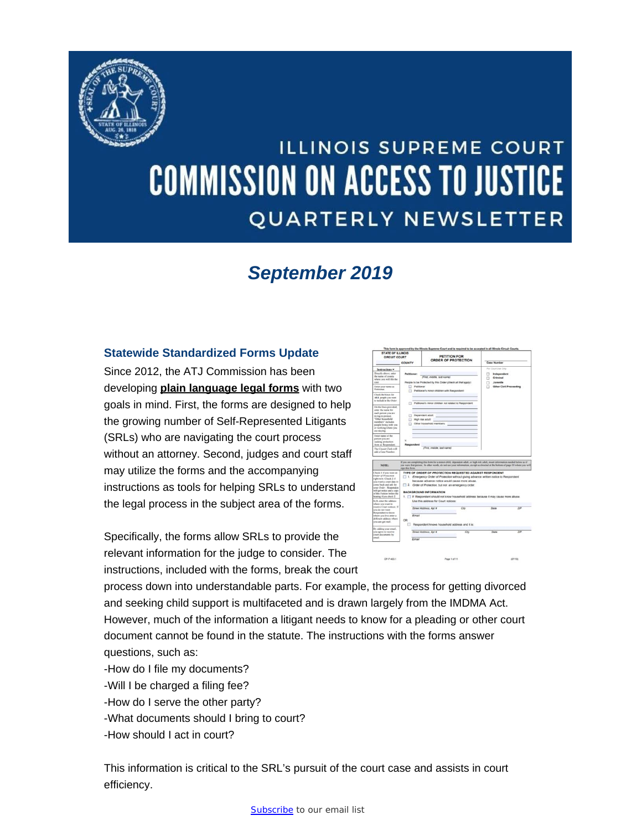<span id="page-0-0"></span>

# **ILLINOIS SUPREME COURT COMMISSION ON ACCESS TO JUSTICE QUARTERLY NEWSLETTER**

# *September 2019*

#### **Statewide Standardized Forms Update**

Since 2012, the ATJ Commission has been developing **[plain language legal forms](http://www.illinoiscourts.gov/Forms/approved/default.asp)** with two goals in mind. First, the forms are designed to help the growing number of Self-Represented Litigants (SRLs) who are navigating the court process without an attorney. Second, judges and court staff may utilize the forms and the accompanying instructions as tools for helping SRLs to understand the legal process in the subject area of the forms.

Specifically, the forms allow SRLs to provide the relevant information for the judge to consider. The instructions, included with the forms, break the court



process down into understandable parts. For example, the process for getting divorced and seeking child support is multifaceted and is drawn largely from the IMDMA Act. However, much of the information a litigant needs to know for a pleading or other court document cannot be found in the statute. The instructions with the forms answer questions, such as:

- -How do I file my documents?
- -Will I be charged a filing fee?
- -How do I serve the other party?
- -What documents should I bring to court?
- -How should I act in court?

This information is critical to the SRL's pursuit of the court case and assists in court efficiency.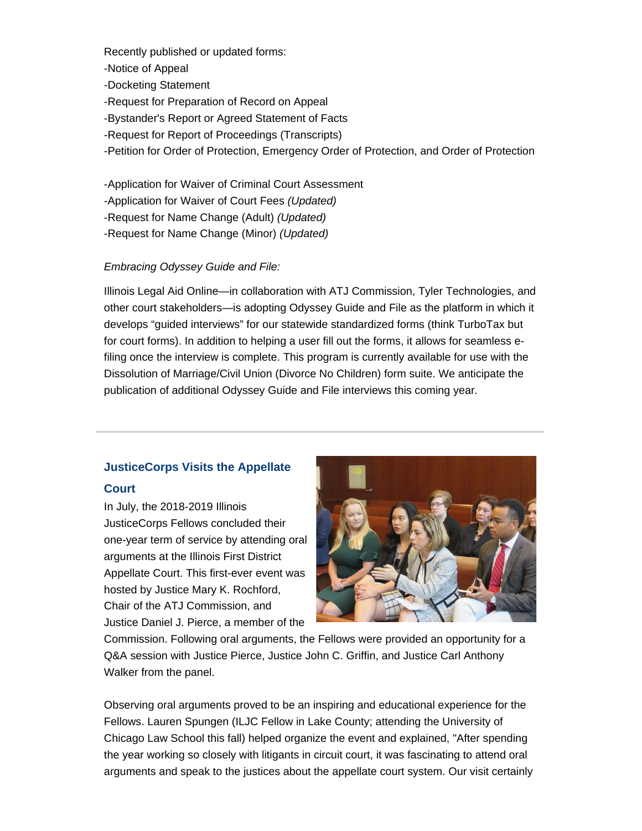Recently published or updated forms:

-Notice of Appeal

- -Docketing Statement
- -Request for Preparation of Record on Appeal
- -Bystander's Report or Agreed Statement of Facts
- -Request for Report of Proceedings (Transcripts)
- -Petition for Order of Protection, Emergency Order of Protection, and Order of Protection

-Application for Waiver of Criminal Court Assessment

- -Application for Waiver of Court Fees *(Updated)*
- -Request for Name Change (Adult) *(Updated)*

-Request for Name Change (Minor) *(Updated)*

#### *Embracing Odyssey Guide and File:*

Illinois Legal Aid Online—in collaboration with ATJ Commission, Tyler Technologies, and other court stakeholders—is adopting Odyssey Guide and File as the platform in which it develops "guided interviews" for our statewide standardized forms (think TurboTax but for court forms). In addition to helping a user fill out the forms, it allows for seamless efiling once the interview is complete. This program is currently available for use with the Dissolution of Marriage/Civil Union (Divorce No Children) form suite. We anticipate the publication of additional Odyssey Guide and File interviews this coming year.

### **JusticeCorps Visits the Appellate Court**

In July, the 2018-2019 Illinois JusticeCorps Fellows concluded their one-year term of service by attending oral arguments at the Illinois First District Appellate Court. This first-ever event was hosted by Justice Mary K. Rochford, Chair of the ATJ Commission, and Justice Daniel J. Pierce, a member of the



Commission. Following oral arguments, the Fellows were provided an opportunity for a Q&A session with Justice Pierce, Justice John C. Griffin, and Justice Carl Anthony Walker from the panel.

Observing oral arguments proved to be an inspiring and educational experience for the Fellows. Lauren Spungen (ILJC Fellow in Lake County; attending the University of Chicago Law School this fall) helped organize the event and explained, "After spending the year working so closely with litigants in circuit court, it was fascinating to attend oral arguments and speak to the justices about the appellate court system. Our visit certainly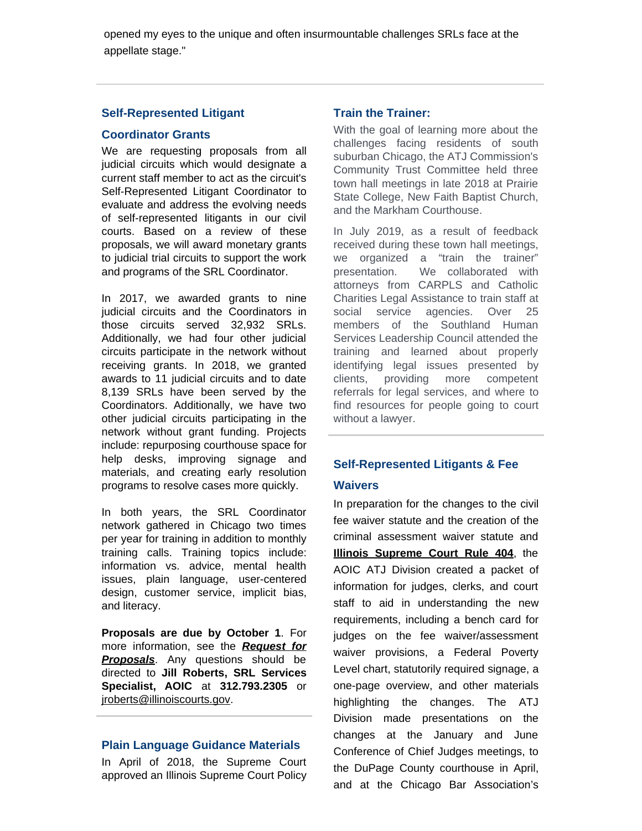opened my eyes to the unique and often insurmountable challenges SRLs face at the appellate stage."

#### **Self-Represented Litigant**

#### **Coordinator Grants**

We are requesting proposals from all judicial circuits which would designate a current staff member to act as the circuit's Self-Represented Litigant Coordinator to evaluate and address the evolving needs of self-represented litigants in our civil courts. Based on a review of these proposals, we will award monetary grants to judicial trial circuits to support the work and programs of the SRL Coordinator.

In 2017, we awarded grants to nine judicial circuits and the Coordinators in those circuits served 32,932 SRLs. Additionally, we had four other judicial circuits participate in the network without receiving grants. In 2018, we granted awards to 11 judicial circuits and to date 8,139 SRLs have been served by the Coordinators. Additionally, we have two other judicial circuits participating in the network without grant funding. Projects include: repurposing courthouse space for help desks, improving signage and materials, and creating early resolution programs to resolve cases more quickly.

In both years, the SRL Coordinator network gathered in Chicago two times per year for training in addition to monthly training calls. Training topics include: information vs. advice, mental health issues, plain language, user-centered design, customer service, implicit bias, and literacy.

**Proposals are due by October 1**. For more information, see the *[Request for](https://courts.illinois.gov/Procurement/2019/coordinators.pdf)* **[Proposals](https://courts.illinois.gov/Procurement/2019/coordinators.pdf)**. Any questions should be directed to **Jill Roberts, SRL Services Specialist, AOIC** at **312.793.2305** or [jroberts@illinoiscourts.gov](mailto:jroberts@illinoiscourts.gov).

#### **Plain Language Guidance Materials**

In April of 2018, the Supreme Court approved an Illinois Supreme Court Policy

#### **Train the Trainer:**

With the goal of learning more about the challenges facing residents of south suburban Chicago, the ATJ Commission's Community Trust Committee held three town hall meetings in late 2018 at Prairie State College, New Faith Baptist Church, and the Markham Courthouse.

In July 2019, as a result of feedback received during these town hall meetings, we organized a "train the trainer" presentation. We collaborated with attorneys from CARPLS and Catholic Charities Legal Assistance to train staff at social service agencies. Over 25 members of the Southland Human Services Leadership Council attended the training and learned about properly identifying legal issues presented by clients, providing more competent referrals for legal services, and where to find resources for people going to court without a lawyer.

### **Self-Represented Litigants & Fee**

#### **Waivers**

In preparation for the changes to the civil fee waiver statute and the creation of the criminal assessment waiver statute and **[Illinois Supreme Court Rule 404](http://www.illinoiscourts.gov/SupremeCourt/Rules/Art_IV/ArtIV.htm#404)**, the AOIC ATJ Division created a packet of information for judges, clerks, and court staff to aid in understanding the new requirements, including a bench card for judges on the fee waiver/assessment waiver provisions, a Federal Poverty Level chart, statutorily required signage, a one-page overview, and other materials highlighting the changes. The ATJ Division made presentations on the changes at the January and June Conference of Chief Judges meetings, to the DuPage County courthouse in April, and at the Chicago Bar Association's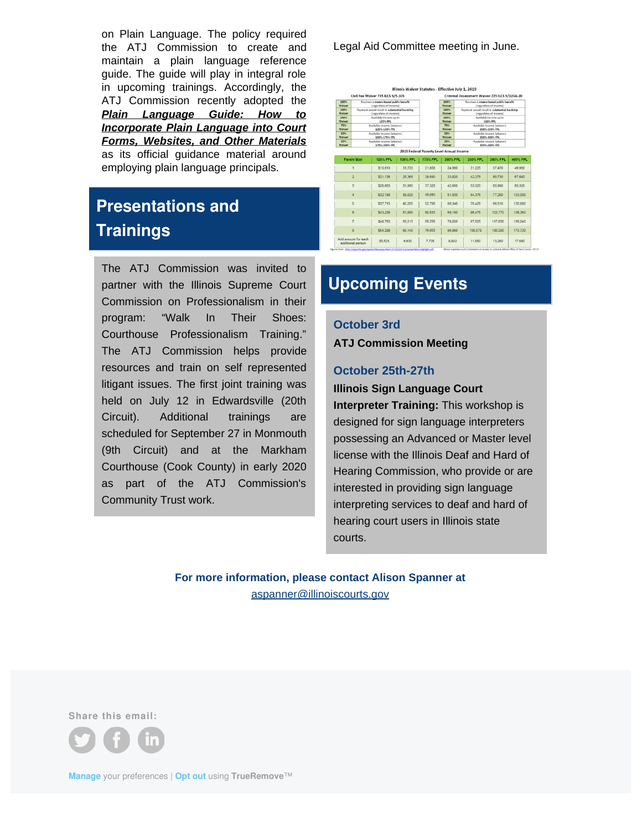on Plain Language. The policy required the ATJ Commission to create and maintain a plain language reference guide. The guide will play in integral role in upcoming trainings. Accordingly, the ATJ Commission recently adopted the *[Plain Language Guide: How to](https://courts.illinois.gov/CivilJustice/Training_Education/ReferenceGuide.pdf) [Incorporate Plain Language into Court](https://courts.illinois.gov/CivilJustice/Training_Education/ReferenceGuide.pdf) [Forms, Websites, and Other Materials](https://courts.illinois.gov/CivilJustice/Training_Education/ReferenceGuide.pdf)* as its official guidance material around employing plain language principals.

# **Presentations and Trainings**

The ATJ Commission was invited to partner with the Illinois Supreme Court Commission on Professionalism in their program: "Walk In Their Shoes: Courthouse Professionalism Training." The ATJ Commission helps provide resources and train on self represented litigant issues. The first joint training was held on July 12 in Edwardsville (20th Circuit). Additional trainings are scheduled for September 27 in Monmouth (9th Circuit) and at the Markham Courthouse (Cook County) in early 2020 as part of the ATJ Commission's Community Trust work.

Legal Aid Committee meeting in June.

|                                          |                                                                        | Civil Fee Waiver 735 ILCS 5/5-105 |                 |                                          | Criminal Assessment Waiver 725 ILCS 5/124A-20                          |                                                                 |          |               |
|------------------------------------------|------------------------------------------------------------------------|-----------------------------------|-----------------|------------------------------------------|------------------------------------------------------------------------|-----------------------------------------------------------------|----------|---------------|
| 100%<br>Waiver                           | Receives a means-based public benefit<br>(regardless of income)        |                                   |                 |                                          | 100%<br>Waiver                                                         | Receives a means-based public benefit<br>(regardless of income) |          |               |
| 100%<br>Waiver                           | Payment would result in substantial hardship<br>(regardless of income) |                                   |                 | <b>100%</b><br>Waiver                    | Payment would result in substantial hardship<br>(regardless of income) |                                                                 |          |               |
| 100%<br>Waiver                           | Available income up to<br>125% FPL                                     |                                   |                 |                                          | 100%<br>Waiver                                                         | Available income up to<br>200% FPL                              |          |               |
| 75%<br>Waiver                            | Available income between<br>125%-150% FPL                              |                                   |                 |                                          | 75%<br>Waiver                                                          | Available income between<br>2009-2509-FPL                       |          |               |
| son.<br>Waiver                           | Available income between<br>150%-175% FPL                              |                                   |                 | song<br>Waiver                           | Available income between<br>250%-300% FPL                              |                                                                 |          |               |
| 25%<br>Waiver                            | Available income between<br>175%-200% FPL                              |                                   |                 |                                          | 25%<br>Waiver                                                          | Available income between<br>SOON-400N-FPL                       |          |               |
|                                          |                                                                        |                                   |                 | 2019 Federal Poverty Level-Annual Income |                                                                        |                                                                 |          |               |
| <b>Family Size</b>                       |                                                                        | <b>125% FPL</b>                   | <b>150% FPL</b> | 175% FPL                                 | 200% FPL                                                               | <b>250% FPL</b>                                                 | 300% FPL | 400% FPL      |
|                                          |                                                                        | \$15,613                          | 18,735          | 21,858                                   | 24,980                                                                 | 31,225                                                          | 37,470   | 49,960        |
| $\overline{2}$                           |                                                                        | \$21.138                          | 25,365          | 29,593                                   | 33,820                                                                 | 42.275                                                          | 50.730   | 67,640        |
| 3.                                       |                                                                        | \$26,663                          | 31,995          | 37.328                                   | 42,660                                                                 | 53.325                                                          | 63,990   | <b>85 320</b> |
| a                                        |                                                                        | \$32,188                          | 38.625          | 45.063                                   | 51,500                                                                 | 64,375                                                          | 77,250   | 103,000       |
| 5                                        |                                                                        | \$37.713                          | 45:255          | 52.798                                   | 60.340                                                                 | 75.425                                                          | 90.510   | 120.680       |
| 6                                        |                                                                        | \$43,238                          | 51.885          | 60.533                                   | 69.180                                                                 | 86,475                                                          | 103.770  | 138 360       |
| $\overline{7}$                           |                                                                        | \$48,763                          | 58,515          | 68,268                                   | 78,020                                                                 | 97.525                                                          | 117,030  | 156,040       |
| $\overline{8}$                           |                                                                        | \$54,288                          | 65.145          | 76,003                                   | 86,860                                                                 | 108,575                                                         | 130,290  | 173.720       |
| Add amount for each<br>additional person |                                                                        | \$5.525                           | 6,630           | 7.735                                    | 8.840                                                                  | 11,050                                                          | 13,260   | 17,680        |

## **Upcoming Events**

#### **October 3rd**

**ATJ Commission Meeting**

#### **October 25th-27th**

**Illinois Sign Language Court Interpreter Training:** This workshop is designed for sign language interpreters possessing an Advanced or Master level license with the Illinois Deaf and Hard of Hearing Commission, who provide or are interested in providing sign language interpreting services to deaf and hard of hearing court users in Illinois state courts.

**For more information, please contact Alison Spanner at** [aspanner@illinoiscourts.gov](mailto:aspanner@illinoiscourts.gov)

**Share this email:**



**[Manage](#page-0-0)** your preferences | **[Opt out](#page-0-0)** using **TrueRemove**™